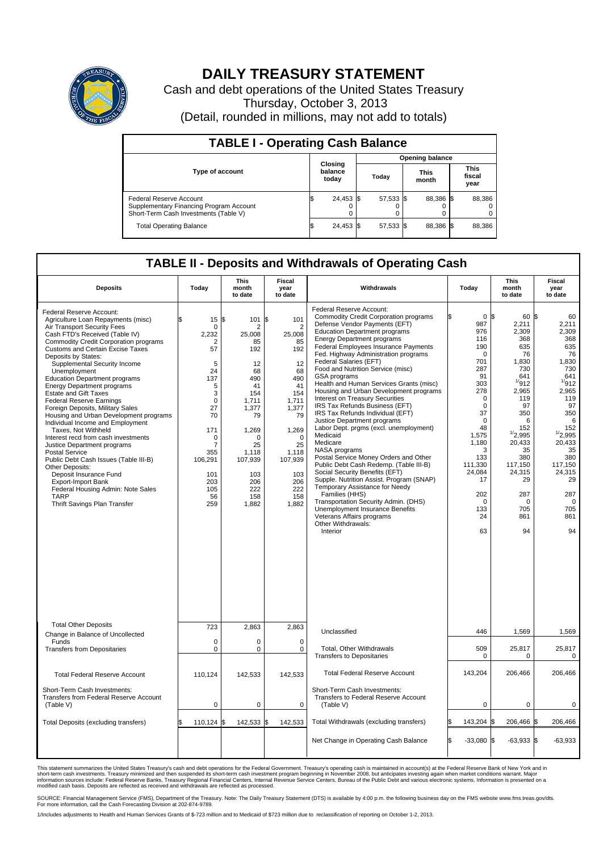

## **DAILY TREASURY STATEMENT**

Cash and debt operations of the United States Treasury Thursday, October 3, 2013 (Detail, rounded in millions, may not add to totals)

| <b>TABLE I - Operating Cash Balance</b>                                                                     |  |                             |       |           |  |                      |  |                               |  |  |  |  |
|-------------------------------------------------------------------------------------------------------------|--|-----------------------------|-------|-----------|--|----------------------|--|-------------------------------|--|--|--|--|
| <b>Opening balance</b>                                                                                      |  |                             |       |           |  |                      |  |                               |  |  |  |  |
| <b>Type of account</b>                                                                                      |  | Closing<br>balance<br>today | Today |           |  | <b>This</b><br>month |  | <b>This</b><br>fiscal<br>year |  |  |  |  |
| Federal Reserve Account<br>Supplementary Financing Program Account<br>Short-Term Cash Investments (Table V) |  | 24,453 \$                   |       | 57,533 \$ |  | 88,386 \$            |  | 88,386                        |  |  |  |  |
| <b>Total Operating Balance</b>                                                                              |  | 24,453 \$                   |       | 57,533 \$ |  | 88,386 \$            |  | 88,386                        |  |  |  |  |

## **TABLE II - Deposits and Withdrawals of Operating Cash**

| <b>Deposits</b>                                                                                                                                                                                                                                                                                                                                                                                                                                                                                                                                                                                                                                                                                                                                                                                                                                                                                  | Today                                                                                                                                                                       | This<br>month<br>to date                                                                                                                                                          | Fiscal<br>year<br>to date                                                                                                                                                                      | Withdrawals                                                                                                                                                                                                                                                                                                                                                                                                                                                                                                                                                                                                                                                                                                                                                                                                                                                                                                                                                                                                                          | Today                                                                                                                                                                                                                       | <b>This</b><br>month<br>to date                                                                                                                                                                                                               | <b>Fiscal</b><br>year<br>to date                                                                                                                                                                                                   |
|--------------------------------------------------------------------------------------------------------------------------------------------------------------------------------------------------------------------------------------------------------------------------------------------------------------------------------------------------------------------------------------------------------------------------------------------------------------------------------------------------------------------------------------------------------------------------------------------------------------------------------------------------------------------------------------------------------------------------------------------------------------------------------------------------------------------------------------------------------------------------------------------------|-----------------------------------------------------------------------------------------------------------------------------------------------------------------------------|-----------------------------------------------------------------------------------------------------------------------------------------------------------------------------------|------------------------------------------------------------------------------------------------------------------------------------------------------------------------------------------------|--------------------------------------------------------------------------------------------------------------------------------------------------------------------------------------------------------------------------------------------------------------------------------------------------------------------------------------------------------------------------------------------------------------------------------------------------------------------------------------------------------------------------------------------------------------------------------------------------------------------------------------------------------------------------------------------------------------------------------------------------------------------------------------------------------------------------------------------------------------------------------------------------------------------------------------------------------------------------------------------------------------------------------------|-----------------------------------------------------------------------------------------------------------------------------------------------------------------------------------------------------------------------------|-----------------------------------------------------------------------------------------------------------------------------------------------------------------------------------------------------------------------------------------------|------------------------------------------------------------------------------------------------------------------------------------------------------------------------------------------------------------------------------------|
| Federal Reserve Account:<br>Agriculture Loan Repayments (misc)<br>Air Transport Security Fees<br>Cash FTD's Received (Table IV)<br><b>Commodity Credit Corporation programs</b><br><b>Customs and Certain Excise Taxes</b><br>Deposits by States:<br>Supplemental Security Income<br>Unemployment<br><b>Education Department programs</b><br><b>Energy Department programs</b><br><b>Estate and Gift Taxes</b><br><b>Federal Reserve Earnings</b><br>Foreign Deposits, Military Sales<br>Housing and Urban Development programs<br>Individual Income and Employment<br>Taxes, Not Withheld<br>Interest recd from cash investments<br>Justice Department programs<br><b>Postal Service</b><br>Public Debt Cash Issues (Table III-B)<br>Other Deposits:<br>Deposit Insurance Fund<br><b>Export-Import Bank</b><br>Federal Housing Admin: Note Sales<br><b>TARP</b><br>Thrift Savings Plan Transfer | 15<br>$\mathbf 0$<br>2,232<br>2<br>57<br>5<br>24<br>137<br>5<br>3<br>$\mathbf 0$<br>27<br>70<br>171<br>$\mathbf 0$<br>7<br>355<br>106,291<br>101<br>203<br>105<br>56<br>259 | \$<br>101<br>2<br>25,008<br>85<br>192<br>12<br>68<br>490<br>41<br>154<br>1,711<br>1,377<br>79<br>1,269<br>$\Omega$<br>25<br>1,118<br>107,939<br>103<br>206<br>222<br>158<br>1,882 | \$<br>101<br>$\overline{2}$<br>25,008<br>85<br>192<br>12<br>68<br>490<br>41<br>154<br>1,711<br>1,377<br>79<br>1,269<br>$\Omega$<br>25<br>1,118<br>107,939<br>103<br>206<br>222<br>158<br>1,882 | Federal Reserve Account:<br><b>Commodity Credit Corporation programs</b><br>Defense Vendor Payments (EFT)<br><b>Education Department programs</b><br><b>Energy Department programs</b><br>Federal Employees Insurance Payments<br>Fed. Highway Administration programs<br>Federal Salaries (EFT)<br>Food and Nutrition Service (misc)<br>GSA programs<br>Health and Human Services Grants (misc)<br>Housing and Urban Development programs<br>Interest on Treasury Securities<br>IRS Tax Refunds Business (EFT)<br>IRS Tax Refunds Individual (EFT)<br>Justice Department programs<br>Labor Dept. prgms (excl. unemployment)<br>Medicaid<br>Medicare<br>NASA programs<br>Postal Service Money Orders and Other<br>Public Debt Cash Redemp. (Table III-B)<br>Social Security Benefits (EFT)<br>Supple. Nutrition Assist. Program (SNAP)<br>Temporary Assistance for Needy<br>Families (HHS)<br>Transportation Security Admin. (DHS)<br>Unemployment Insurance Benefits<br>Veterans Affairs programs<br>Other Withdrawals:<br>Interior | 987<br>976<br>116<br>190<br>$\Omega$<br>701<br>287<br>91<br>303<br>278<br>$\Omega$<br>$\mathbf 0$<br>37<br>$\mathbf 0$<br>48<br>1,575<br>1,180<br>3<br>133<br>111.330<br>24,084<br>17<br>202<br>$\Omega$<br>133<br>24<br>63 | 0 <sup>8</sup><br>60 \$<br>2,211<br>2,309<br>368<br>635<br>76<br>1,830<br>730<br>641<br>1/912<br>2,965<br>119<br>97<br>350<br>6<br>152<br>1/2,995<br>20,433<br>35<br>380<br>117.150<br>24,315<br>29<br>287<br>$\mathbf 0$<br>705<br>861<br>94 | 60<br>2,211<br>2,309<br>368<br>635<br>76<br>1,830<br>730<br>641<br>1/912<br>2,965<br>119<br>97<br>350<br>6<br>152<br>$\frac{1}{2.995}$<br>20,433<br>35<br>380<br>117.150<br>24,315<br>29<br>287<br>$\mathbf 0$<br>705<br>861<br>94 |
| <b>Total Other Deposits</b><br>Change in Balance of Uncollected                                                                                                                                                                                                                                                                                                                                                                                                                                                                                                                                                                                                                                                                                                                                                                                                                                  | 723                                                                                                                                                                         | 2.863                                                                                                                                                                             | 2,863                                                                                                                                                                                          | Unclassified                                                                                                                                                                                                                                                                                                                                                                                                                                                                                                                                                                                                                                                                                                                                                                                                                                                                                                                                                                                                                         | 446                                                                                                                                                                                                                         | 1,569                                                                                                                                                                                                                                         | 1,569                                                                                                                                                                                                                              |
| Funds<br><b>Transfers from Depositaries</b>                                                                                                                                                                                                                                                                                                                                                                                                                                                                                                                                                                                                                                                                                                                                                                                                                                                      | $\mathbf 0$<br>$\pmb{0}$                                                                                                                                                    | 0<br>$\pmb{0}$                                                                                                                                                                    | $\mathbf 0$<br>$\mathbf 0$                                                                                                                                                                     | Total, Other Withdrawals<br><b>Transfers to Depositaries</b>                                                                                                                                                                                                                                                                                                                                                                                                                                                                                                                                                                                                                                                                                                                                                                                                                                                                                                                                                                         | 509<br>$\mathbf 0$                                                                                                                                                                                                          | 25,817<br>$\mathbf 0$                                                                                                                                                                                                                         | 25,817<br>$\mathbf 0$                                                                                                                                                                                                              |
| <b>Total Federal Reserve Account</b>                                                                                                                                                                                                                                                                                                                                                                                                                                                                                                                                                                                                                                                                                                                                                                                                                                                             | 110,124                                                                                                                                                                     | 142,533                                                                                                                                                                           | 142,533                                                                                                                                                                                        | <b>Total Federal Reserve Account</b>                                                                                                                                                                                                                                                                                                                                                                                                                                                                                                                                                                                                                                                                                                                                                                                                                                                                                                                                                                                                 | 143,204                                                                                                                                                                                                                     | 206,466                                                                                                                                                                                                                                       | 206,466                                                                                                                                                                                                                            |
| Short-Term Cash Investments:<br>Transfers from Federal Reserve Account<br>(Table V)                                                                                                                                                                                                                                                                                                                                                                                                                                                                                                                                                                                                                                                                                                                                                                                                              | $\pmb{0}$                                                                                                                                                                   | $\pmb{0}$                                                                                                                                                                         | 0                                                                                                                                                                                              | Short-Term Cash Investments:<br>Transfers to Federal Reserve Account<br>(Table V)                                                                                                                                                                                                                                                                                                                                                                                                                                                                                                                                                                                                                                                                                                                                                                                                                                                                                                                                                    | $\mathbf 0$                                                                                                                                                                                                                 | $\mathbf 0$                                                                                                                                                                                                                                   | 0                                                                                                                                                                                                                                  |
| Total Deposits (excluding transfers)                                                                                                                                                                                                                                                                                                                                                                                                                                                                                                                                                                                                                                                                                                                                                                                                                                                             | 110,124                                                                                                                                                                     | l\$<br>142,533                                                                                                                                                                    | \$<br>142,533                                                                                                                                                                                  | Total Withdrawals (excluding transfers)                                                                                                                                                                                                                                                                                                                                                                                                                                                                                                                                                                                                                                                                                                                                                                                                                                                                                                                                                                                              | 143,204 \$                                                                                                                                                                                                                  | 206,466 \$                                                                                                                                                                                                                                    | 206,466                                                                                                                                                                                                                            |
|                                                                                                                                                                                                                                                                                                                                                                                                                                                                                                                                                                                                                                                                                                                                                                                                                                                                                                  |                                                                                                                                                                             |                                                                                                                                                                                   |                                                                                                                                                                                                | Net Change in Operating Cash Balance                                                                                                                                                                                                                                                                                                                                                                                                                                                                                                                                                                                                                                                                                                                                                                                                                                                                                                                                                                                                 | $-33,080$ \$                                                                                                                                                                                                                | $-63,933$ \$                                                                                                                                                                                                                                  | $-63,933$                                                                                                                                                                                                                          |

This statement summarizes the United States Treasury's cash and debt operations for the Federal Government. Treasury's operating cash is maintained in account(s) at the Federal Reserve Bank of New York and in<br>short-term ca

SOURCE: Financial Management Service (FMS), Department of the Treasury. Note: The Daily Treasury Statement (DTS) is available by 4:00 p.m. the following business day on the FMS website www.fms.treas.gov/dts.<br>For more infor

1/Includes adjustments to Health and Human Services Grants of \$-723 million and to Medicaid of \$723 million due to reclassification of reporting on October 1-2, 2013.